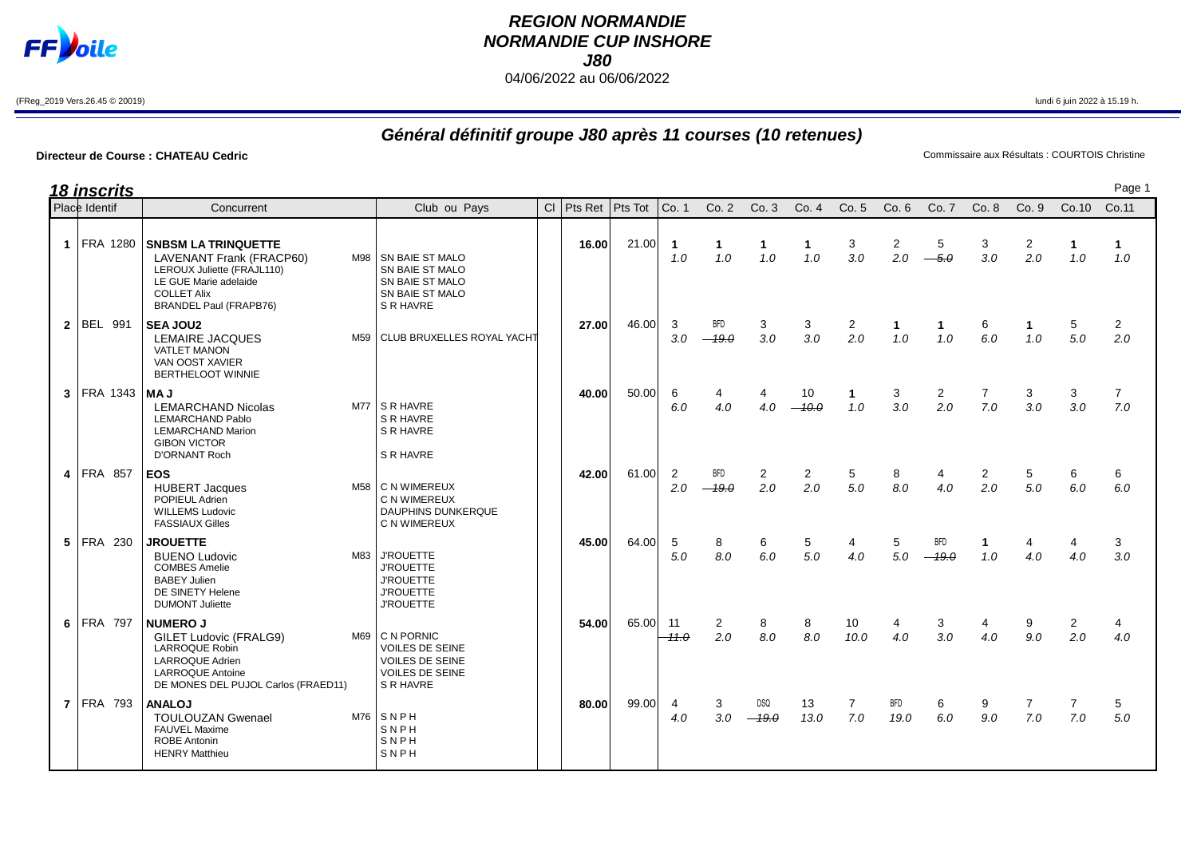

## **REGION NORMANDIE NORMANDIE CUP INSHORE J80** 04/06/2022 au 06/06/2022

(FReg\_2019 Vers.26.45 © 20019) lundi 6 juin 2022 à 15.19 h.

## **Général définitif groupe J80 après 11 courses (10 retenues)**

## **Directeur de Course : CHATEAU Cedric**<br>
Commissaire aux Résultats : COURTOIS Christine

|               | 18 inscrits      |                                                                                                                                                                             |                                                                                                           |                        |       |                       |                       |                       |                       |                     |                     |                       |                       |                       |                       | Page 1                |  |
|---------------|------------------|-----------------------------------------------------------------------------------------------------------------------------------------------------------------------------|-----------------------------------------------------------------------------------------------------------|------------------------|-------|-----------------------|-----------------------|-----------------------|-----------------------|---------------------|---------------------|-----------------------|-----------------------|-----------------------|-----------------------|-----------------------|--|
| Place Identif |                  | Concurrent                                                                                                                                                                  | Club ou Pays                                                                                              | CI   Pts Ret   Pts Tot |       | Co. 1                 | Co. 2                 | Co.3                  | Co.4                  | Co.5                | Co.6                | Co. 7                 | Co. 8                 | Co.9                  | Co.10                 | Co.11                 |  |
|               | 1 FRA 1280       | <b>SNBSM LA TRINQUETTE</b><br><b>LAVENANT Frank (FRACP60)</b><br>LEROUX Juliette (FRAJL110)<br>LE GUE Marie adelaide<br><b>COLLET Alix</b><br><b>BRANDEL Paul (FRAPB76)</b> | M98   SN BAIE ST MALO<br>SN BAIE ST MALO<br>SN BAIE ST MALO<br>SN BAIE ST MALO<br>S R HAVRE               | 16.00                  | 21.00 | $\mathbf 1$<br>1.0    | $\mathbf{1}$<br>1.0   | $\mathbf{1}$<br>1.0   | 1<br>1.0              | 3<br>3.0            | 2<br>2.0            | 5<br>$-5.0$           | 3<br>3.0              | 2<br>2.0              | 1<br>1.0              | $\mathbf{1}$<br>1.0   |  |
|               | 2 BEL 991        | <b>SEA JOU2</b><br>LEMAIRE JACQUES<br><b>VATLET MANON</b><br>VAN OOST XAVIER<br><b>BERTHELOOT WINNIE</b>                                                                    | M59 CLUB BRUXELLES ROYAL YACHT                                                                            | 27.00                  | 46.00 | 3<br>3.0              | <b>BFD</b><br>$-19.0$ | 3<br>3.0              | 3<br>3.0              | 2<br>2.0            | $\mathbf{1}$<br>1.0 | $\mathbf{1}$<br>1.0   | 6<br>6.0              | $\mathbf{1}$<br>1.0   | 5<br>5.0              | $\overline{2}$<br>2.0 |  |
|               | $3$ FRA 1343 MAJ | <b>LEMARCHAND Nicolas</b><br><b>LEMARCHAND Pablo</b><br><b>LEMARCHAND Marion</b><br><b>GIBON VICTOR</b><br><b>D'ORNANT Roch</b>                                             | $M77$ S R HAVRE<br>S R HAVRE<br>S R HAVRE<br>S R HAVRE                                                    | 40.00                  | 50.00 | 6<br>6.0              | 4<br>4.0              | 4<br>4.0              | 10<br>$-10.0$         | $\mathbf{1}$<br>1.0 | 3<br>3.0            | $\overline{2}$<br>2.0 | 7<br>7.0              | 3<br>3.0              | 3<br>3.0              | $\overline{7}$<br>7.0 |  |
|               | 4 FRA 857        | <b>EOS</b><br><b>HUBERT Jacques</b><br>POPIEUL Adrien<br><b>WILLEMS Ludovic</b><br><b>FASSIAUX Gilles</b>                                                                   | M58   C N WIMEREUX<br>C N WIMEREUX<br><b>DAUPHINS DUNKERQUE</b><br>C N WIMEREUX                           | 42.00                  | 61.00 | $\overline{2}$<br>2.0 | <b>BFD</b><br>$-19.0$ | $\overline{2}$<br>2.0 | $\overline{2}$<br>2.0 | 5<br>5.0            | 8<br>8.0            | 4<br>4.0              | $\overline{c}$<br>2.0 | 5<br>5.0              | 6<br>6.0              | 6<br>6.0              |  |
|               | 5 FRA 230        | <b>JROUETTE</b><br><b>BUENO Ludovic</b><br><b>COMBES Amelie</b><br><b>BABEY Julien</b><br>DE SINETY Helene<br><b>DUMONT Juliette</b>                                        | M83 J'ROUETTE<br><b>J'ROUETTE</b><br><b>J'ROUETTE</b><br><b>J'ROUETTE</b><br><b>J'ROUETTE</b>             | 45.00                  | 64.00 | 5<br>5.0              | 8<br>8.0              | 6<br>6.0              | 5<br>5.0              | 4<br>4.0            | 5<br>5.0            | <b>BFD</b><br>$-19.0$ | 1<br>1.0              | 4<br>4.0              | 4<br>4.0              | 3<br>3.0              |  |
|               | 6 FRA 797        | <b>NUMERO J</b><br><b>GILET Ludovic (FRALG9)</b><br>LARROQUE Robin<br><b>LARROQUE Adrien</b><br><b>LARROQUE Antoine</b><br>DE MONES DEL PUJOL Carlos (FRAED11)              | M69 C N PORNIC<br><b>VOILES DE SEINE</b><br><b>VOILES DE SEINE</b><br><b>VOILES DE SEINE</b><br>S R HAVRE | 54.00                  | 65.00 | 11<br>$-11.0$         | $\overline{2}$<br>2.0 | 8<br>8.0              | 8<br>8.0              | 10<br>10.0          | 4<br>4.0            | 3<br>3.0              | 4<br>4.0              | 9<br>9.0              | $\overline{2}$<br>2.0 | 4<br>4.0              |  |
|               | <b>7 FRA 793</b> | <b>ANALOJ</b><br><b>TOULOUZAN Gwenael</b><br><b>FAUVEL Maxime</b><br><b>ROBE Antonin</b><br><b>HENRY Matthieu</b>                                                           | $M76$ SNPH<br>SNPH<br>SNPH<br>SNPH                                                                        | 80.00                  | 99.00 | 4<br>4.0              | 3<br>3.0              | DSQ<br>$-19.0$        | 13<br>13.0            | 7<br>7.0            | <b>BFD</b><br>19.0  | 6<br>6.0              | 9<br>9.0              | $\overline{7}$<br>7.0 | $\overline{7}$<br>7.0 | 5<br>5.0              |  |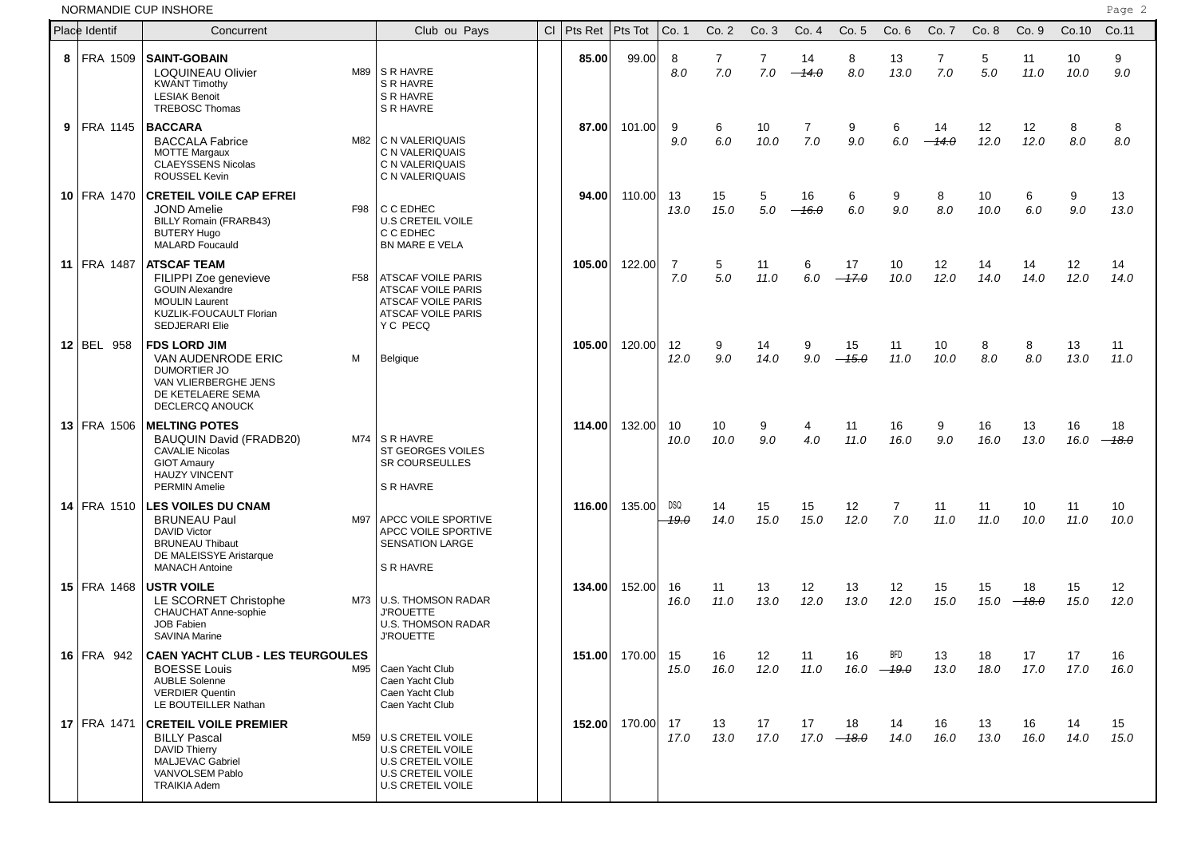NORMANDIE CUP INSHORE

|   | Place Identif      | Concurrent                                                                                                                                                   | Club ou Pays                                                                                                   | <b>CI</b> | Pts Ret | Pts Tot          | Co. 1              | Co.2                  | Co.3       | Co.4          | Co.5          | Co. 6               | Co. 7         | Co. 8      | Co. 9              | Co.10      | Co.11         |
|---|--------------------|--------------------------------------------------------------------------------------------------------------------------------------------------------------|----------------------------------------------------------------------------------------------------------------|-----------|---------|------------------|--------------------|-----------------------|------------|---------------|---------------|---------------------|---------------|------------|--------------------|------------|---------------|
| 8 | FRA 1509           | <b>SAINT-GOBAIN</b><br><b>LOQUINEAU Olivier</b><br>M89<br><b>KWANT Timothy</b><br><b>LESIAK Benoit</b><br><b>TREBOSC Thomas</b>                              | S R HAVRE<br>S R HAVRE<br>S R HAVRE<br>S R HAVRE                                                               |           | 85.00   | 99.00            | 8<br>8.0           | $\overline{7}$<br>7.0 | 7<br>7.0   | 14<br>$-14.0$ | 8<br>8.0      | 13<br>13.0          | 7<br>7.0      | 5<br>5.0   | 11<br>11.0         | 10<br>10.0 | 9<br>9.0      |
| 9 | <b>FRA 1145</b>    | <b>BACCARA</b><br>M82<br><b>BACCALA Fabrice</b><br><b>MOTTE Margaux</b><br><b>CLAEYSSENS Nicolas</b><br>ROUSSEL Kevin                                        | C N VALERIQUAIS<br>C N VALERIQUAIS<br>C N VALERIQUAIS<br>C N VALERIQUAIS                                       |           | 87.00   | 101.00           | 9<br>9.0           | 6<br>6.0              | 10<br>10.0 | 7<br>7.0      | 9<br>9.0      | 6<br>6.0            | 14<br>$-14.0$ | 12<br>12.0 | 12<br>12.0         | 8<br>8.0   | 8<br>8.0      |
|   | 10 FRA 1470        | <b>CRETEIL VOILE CAP EFREI</b><br><b>JOND Amelie</b><br>F98<br>BILLY Romain (FRARB43)<br><b>BUTERY Hugo</b><br><b>MALARD Foucauld</b>                        | C C EDHEC<br><b>U.S CRETEIL VOILE</b><br>C C EDHEC<br>BN MARE E VELA                                           |           | 94.00   | 110.00           | 13<br>13.0         | 15<br>15.0            | 5<br>5.0   | 16<br>$-16.0$ | 6<br>6.0      | 9<br>9.0            | 8<br>8.0      | 10<br>10.0 | 6<br>6.0           | 9<br>9.0   | 13<br>13.0    |
|   | 11 FRA 1487        | <b>ATSCAF TEAM</b><br>F58<br>FILIPPI Zoe genevieve<br><b>GOUIN Alexandre</b><br><b>MOULIN Laurent</b><br>KUZLIK-FOUCAULT Florian<br><b>SEDJERARI Elie</b>    | ATSCAF VOILE PARIS<br><b>ATSCAF VOILE PARIS</b><br><b>ATSCAF VOILE PARIS</b><br>ATSCAF VOILE PARIS<br>Y C PECQ |           | 105.00  | 122.00           | 7<br>7.0           | 5<br>5.0              | 11<br>11.0 | 6<br>6.0      | 17<br>$-17.0$ | 10<br>10.0          | 12<br>12.0    | 14<br>14.0 | 14<br>14.0         | 12<br>12.0 | 14<br>14.0    |
|   | 12 BEL 958         | <b>FDS LORD JIM</b><br>VAN AUDENRODE ERIC<br>м<br>DUMORTIER JO<br>VAN VLIERBERGHE JENS<br>DE KETELAERE SEMA<br>DECLERCQ ANOUCK                               | Belgique                                                                                                       |           | 105.00  | 120.00           | 12<br>12.0         | 9<br>9.0              | 14<br>14.0 | 9<br>9.0      | 15<br>$-45.0$ | 11<br>11.0          | 10<br>10.0    | 8<br>8.0   | 8<br>8.0           | 13<br>13.0 | 11<br>11.0    |
|   | 13 FRA 1506        | <b>MELTING POTES</b><br>BAUQUIN David (FRADB20)<br>M74<br><b>CAVALIE Nicolas</b><br><b>GIOT Amaury</b><br><b>HAUZY VINCENT</b><br><b>PERMIN Amelie</b>       | S R HAVRE<br>ST GEORGES VOILES<br><b>SR COURSEULLES</b><br>S R HAVRE                                           |           | 114.00  | 132.00           | 10<br>10.0         | 10<br>10.0            | 9<br>9.0   | 4<br>4.0      | 11<br>11.0    | 16<br>16.0          | 9<br>9.0      | 16<br>16.0 | 13<br>13.0         | 16<br>16.0 | 18<br>$-18.0$ |
|   | <b>14 FRA 1510</b> | <b>LES VOILES DU CNAM</b><br><b>BRUNEAU Paul</b><br>M97<br><b>DAVID Victor</b><br><b>BRUNEAU Thibaut</b><br>DE MALEISSYE Aristarque<br><b>MANACH Antoine</b> | APCC VOILE SPORTIVE<br>APCC VOILE SPORTIVE<br><b>SENSATION LARGE</b><br>S R HAVRE                              |           | 116.00  | 135.00           | <b>DSQ</b><br>19.0 | 14<br>14.0            | 15<br>15.0 | 15<br>15.0    | 12<br>12.0    | 7<br>7.0            | 11<br>11.0    | 11<br>11.0 | 10<br>10.0         | 11<br>11.0 | 10<br>10.0    |
|   | 15 FRA 1468        | <b>USTR VOILE</b><br>M73<br>LE SCORNET Christophe<br>CHAUCHAT Anne-sophie<br><b>JOB Fabien</b><br><b>SAVINA Marine</b>                                       | <b>U.S. THOMSON RADAR</b><br><b>J'ROUETTE</b><br><b>U.S. THOMSON RADAR</b><br><b>J'ROUETTE</b>                 |           | 134.00  | 152.00           | 16<br>16.0         | 11<br>11.0            | 13<br>13.0 | 12<br>12.0    | 13<br>13.0    | 12<br>12.0          | 15<br>15.0    | 15         | 18<br>$15.0 -18.0$ | 15<br>15.0 | 12<br>12.0    |
|   | 16 FRA 942         | <b>CAEN YACHT CLUB - LES TEURGOULES</b><br><b>BOESSE Louis</b><br>M95<br><b>AUBLE Solenne</b><br><b>VERDIER Quentin</b><br>LE BOUTEILLER Nathan              | Caen Yacht Club<br>Caen Yacht Club<br>Caen Yacht Club<br>Caen Yacht Club                                       |           |         | 151.00 170.00 15 | 15.0               | 16 —<br>16.0          | 12<br>12.0 | 11<br>11.0    | 16<br>16.0    | <b>BFD</b><br>—19.0 | 13.0          | 18.0       | 13 18 17<br>17.0   | 17<br>17.0 | 16<br>16.0    |
|   | <b>17 FRA 1471</b> | <b>CRETEIL VOILE PREMIER</b><br><b>BILLY Pascal</b><br>M59  <br><b>DAVID Thierry</b><br><b>MALJEVAC Gabriel</b><br>VANVOLSEM Pablo<br><b>TRAIKIA Adem</b>    | U.S CRETEIL VOILE<br>U.S CRETEIL VOILE<br>U.S CRETEIL VOILE<br><b>U.S CRETEIL VOILE</b><br>U.S CRETEIL VOILE   |           |         | 152.00 170.00    | 17<br>17.0         | 13<br>13.0            | 17<br>17.0 | 17<br>17.0    | 18<br>$-48.0$ | 14<br>14.0          | 16<br>16.0    | 13<br>13.0 | 16<br>16.0         | 14<br>14.0 | 15<br>15.0    |